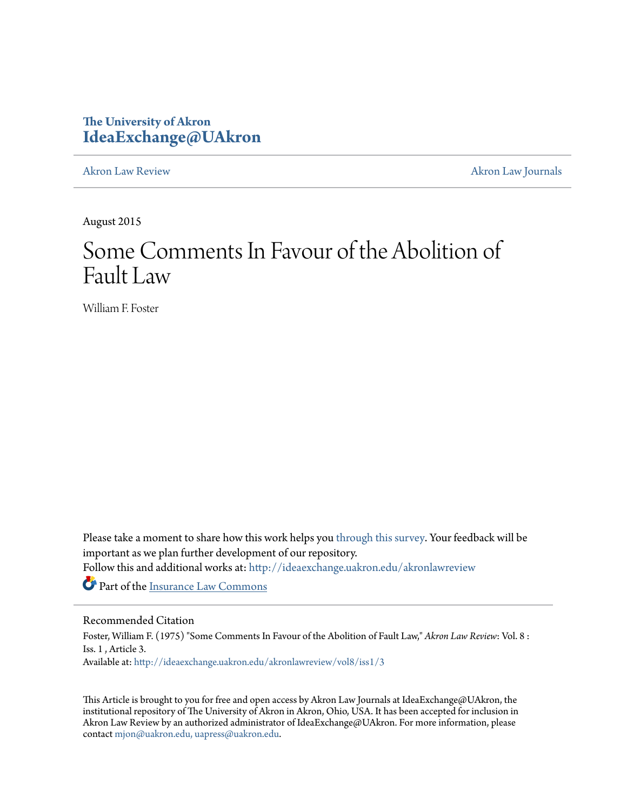# **The University of Akron [IdeaExchange@UAkron](http://ideaexchange.uakron.edu?utm_source=ideaexchange.uakron.edu%2Fakronlawreview%2Fvol8%2Fiss1%2F3&utm_medium=PDF&utm_campaign=PDFCoverPages)**

[Akron Law Review](http://ideaexchange.uakron.edu/akronlawreview?utm_source=ideaexchange.uakron.edu%2Fakronlawreview%2Fvol8%2Fiss1%2F3&utm_medium=PDF&utm_campaign=PDFCoverPages) [Akron Law Journals](http://ideaexchange.uakron.edu/akronlawjournals?utm_source=ideaexchange.uakron.edu%2Fakronlawreview%2Fvol8%2Fiss1%2F3&utm_medium=PDF&utm_campaign=PDFCoverPages)

August 2015

# Some Comments In Favour of the Abolition of Fault Law

William F. Foster

Please take a moment to share how this work helps you [through this survey.](http://survey.az1.qualtrics.com/SE/?SID=SV_eEVH54oiCbOw05f&URL=http://ideaexchange.uakron.edu/akronlawreview/vol8/iss1/3) Your feedback will be important as we plan further development of our repository.

Follow this and additional works at: [http://ideaexchange.uakron.edu/akronlawreview](http://ideaexchange.uakron.edu/akronlawreview?utm_source=ideaexchange.uakron.edu%2Fakronlawreview%2Fvol8%2Fiss1%2F3&utm_medium=PDF&utm_campaign=PDFCoverPages)

Part of the [Insurance Law Commons](http://network.bepress.com/hgg/discipline/607?utm_source=ideaexchange.uakron.edu%2Fakronlawreview%2Fvol8%2Fiss1%2F3&utm_medium=PDF&utm_campaign=PDFCoverPages)

## Recommended Citation

Foster, William F. (1975) "Some Comments In Favour of the Abolition of Fault Law," *Akron Law Review*: Vol. 8 : Iss. 1 , Article 3. Available at: [http://ideaexchange.uakron.edu/akronlawreview/vol8/iss1/3](http://ideaexchange.uakron.edu/akronlawreview/vol8/iss1/3?utm_source=ideaexchange.uakron.edu%2Fakronlawreview%2Fvol8%2Fiss1%2F3&utm_medium=PDF&utm_campaign=PDFCoverPages)

This Article is brought to you for free and open access by Akron Law Journals at IdeaExchange@UAkron, the institutional repository of The University of Akron in Akron, Ohio, USA. It has been accepted for inclusion in Akron Law Review by an authorized administrator of IdeaExchange@UAkron. For more information, please contact [mjon@uakron.edu, uapress@uakron.edu.](mailto:mjon@uakron.edu,%20uapress@uakron.edu)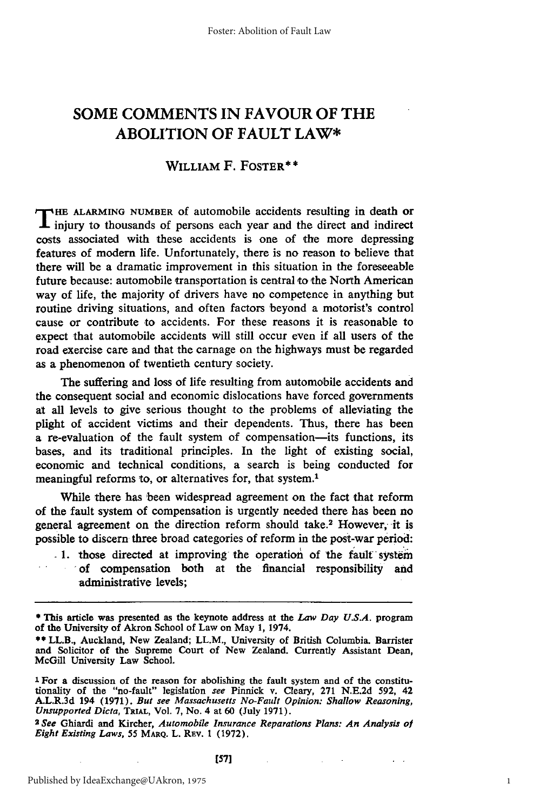## **SOME COMMENTS IN FAVOUR OF THE ABOLITION OF FAULT LAW\***

#### WILLIAM F. FOSTER\* **\***

**T HE ALARMING NUMBER** of automobile accidents resulting in death or injury to thousands of persons each year and the direct and indirect costs associated with these accidents is one of the more depressing features of modern life. Unfortunately, there is no reason to believe that there will be a dramatic improvement in this situation in the foreseeable future because: automobile transportation is central to the North American way of life, the majority of drivers have no competence in anything but routine driving situations, and often factors beyond a motorist's control cause or contribute to accidents. For these reasons it is reasonable to expect that automobile accidents will still occur even if all users of the road exercise care and that the carnage on the highways must be regarded as a phenomenon of twentieth century society.

The suffering and loss of life resulting from automobile accidents and the consequent social and economic dislocations have forced governments at all levels to give serious thought to the problems of alleviating the plight of accident victims and their dependents. Thus, there has been a re-evaluation of the fault system of compensation-its functions, its bases, and its traditional principles. In the light of existing social, economic and technical conditions, a search is being conducted for meaningful reforms to, or alternatives for, that system.<sup>1</sup>

While there has been widespread agreement on the fact that reform of the fault system of compensation is urgently needed there has been no general agreement on the direction reform should take.<sup>2</sup> However, it is possible to discern three broad categories of reform in the post-war period:

1. those directed at improving the operation of the fault system of compensation both at the financial responsibility and administrative levels;

<sup>\*</sup> This article was presented as the keynote address at the *Law Day U.S.A.* program of the University of Akron School of Law on May 1, 1974.

<sup>\*\*</sup> LL.B., Auckland, New Zealand; LL.M., University of British Columbia. Barrister and Solicitor of the Supreme Court of New Zealand. Currently Assistant Dean, McGill University Law School.

**<sup>1</sup>** For a discussion of the reason for abolishing the fault system and of the constitutionality of the "no-fault" legislation *see* Pinnick v. Cleary, 271 N.E.2d 592, 42 A.L.R.3d 194 (1971). *But see Massachusetts No-Fault Opinion: Shallow Reasoning, Unsupported Dicta,* TRIAL, Vol. 7, No. 4 at 60 (July 1971).

*<sup>2</sup> See* Ghiardi and Kircher, *Automobile Insurance Reparations Plans: An Analysis ol Eight Existing Laws,* 55 MARQ. L. REV. 1 (1972).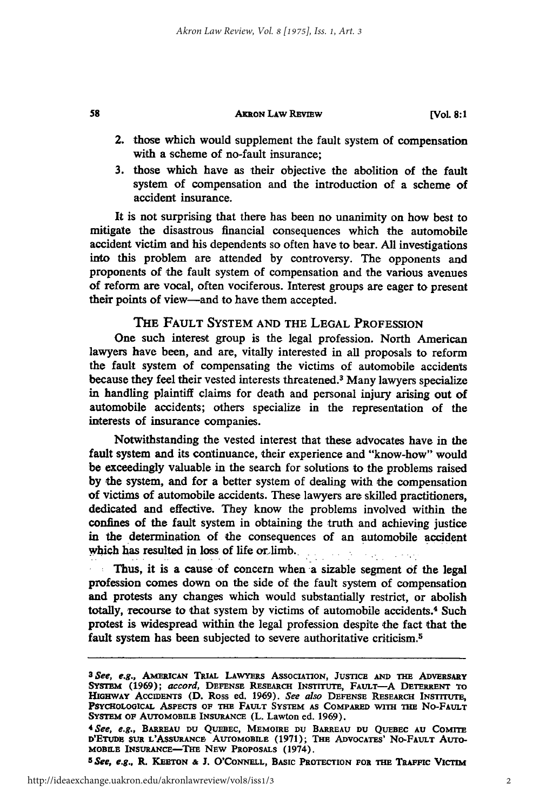#### **AKRON LAW REVIEW**

58

- 2. those which would supplement the fault system of compensation with a scheme of no-fault insurance:
- **3.** those which have as their objective the abolition of the fault system of compensation and the introduction of a scheme **of** accident insurance.

It is not surprising that there has been no unanimity on how best to mitigate the disastrous financial consequences which the automobile accident victim and his dependents so often have to bear. **All** investigations into this problem are attended **by** controversy. The opponents and proponents of the fault system of compensation and the various avenues of reform are vocal, often vociferous. Interest groups are eager to present their points of view-and to have them accepted.

#### THE **FAULT** SYSTEM **AND** THE **LEGAL** PROFESSION

One such interest group is the legal profession. North American lawyers have been, and are, vitally interested in all proposals to reform the fault system of compensating the victims of automobile accidents because they feel their vested interests threatened.3 Many lawyers specialize in handling plaintiff claims for death and personal injury arising out of automobile accidents; others specialize in the representation of the interests of insurance companies.

Notwithstanding the vested interest that these advocates have in the fault system and its continuance, their experience and "know-how" would be exceedingly valuable in the search for solutions to the problems raised **by** the system, and for a better system of dealing with the compensation of victims of automobile accidents. These lawyers are skilled practitioners, dedicated and effective. **They** know the problems involved within the confines of the fault system in obtaining the truth and achieving justice in the determination of the consequences of an automobile accident which has resulted in loss of life or limb.

Thus, it is a cause of concern when a sizable segment of the legal profession comes down on the side of the fault system of compensation and protests any changes which would substantially restrict, or abolish totally, recourse to that system by victims of automobile accidents.<sup>4</sup> Such protest is widespread within the legal profession despite the fact that the fault system has been subjected to severe authoritative criticism.<sup>5</sup>

*5See, e.g.,* **R. KEETON & J. O'CoNELL, BASIC PROTECTION FOR THE TRAFFIC VIc'rm**

*<sup>3</sup> See, e.g.,* **AMERICAN TRIAL LAWYERS ASSOCIATION, JUSTICE AND THE ADVERSARY SYSTM (1969);** *accord,* **DEFENSE RESEARCH INSTITUTE, FAULT-A DETERRENT TO HIGH AY ACCIDENTS (D. Ross ed. 1969).** *See also* **DEFENSE RESEARCH INSTITUTE,** PSYCHOLOGICAL ASPECTS OF THE FAULT SYSTEM AS COMPARED WITH THE NO-FAULT **SYSTEM OF AUTOMOBILE INSURANCE (L. Lawton ed. 1969).** *<sup>4</sup> See, e.g.,* **BARREAu DU QUEBEC, MEMOIRE DU BARREAU DU QUEBEC AU COMrTE**

**D'ETUDE SUR L'ASSURANCE. AUTOMOBILE (1971); THE ADVOCATES' No-FAULT AUTO-MOBILE INSURANCE-THE NEW PROPOSALS (1974).**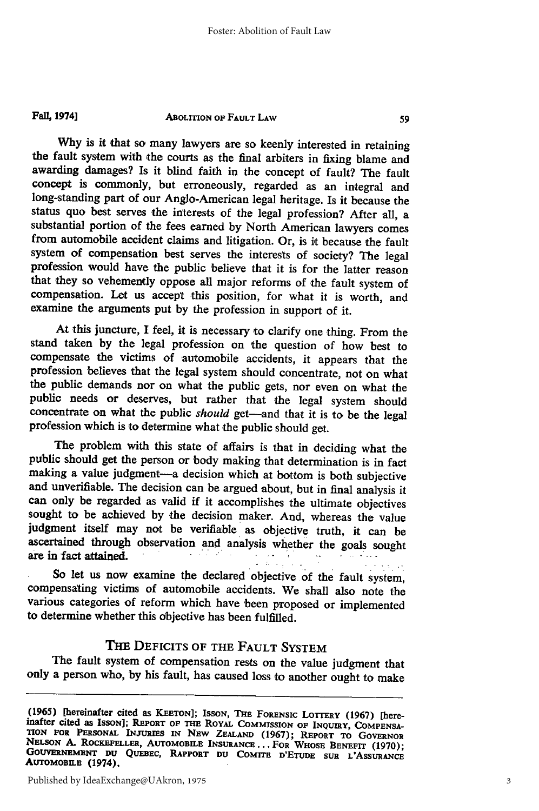**F4ll 1974]**

#### **ABOLITION OF FAULT LAW**

**Why** is it that so many lawyers are so keenly interested in retaining the fault system with the courts as the final arbiters in fixing blame and awarding damages? Is it blind faith in the concept of fault? The fault concept is commonly, but erroneously, regarded as an integral and long-standing part of our Anglo-American legal heritage. Is it because the status quo best serves the interests of the legal profession? After all, a substantial portion of the fees earned **by** North American lawyers comes from automobile accident claims and litigation. Or, is it because the fault system of compensation best serves the interests of society? The legal profession would have the public 'believe that it is for the latter reason that they so vehemently oppose all major reforms of the fault system of compensation. **Let** us accept this position, for what it is worth, and examine the arguments put **by** the profession in support of it.

At this juncture, I feel, it is necessary to clarify one thing. From the stand taken **by** the legal profession on the question of how best to compensate the victims of automobile accidents, it appears that the profession believes that the legal system should concentrate, not on what the public demands nor on what the public gets, nor even on what the public needs or deserves, but rather that the legal system should concentrate on what the public *should* get-and that it is to be the legal profession which is to determine what the public should get.

The problem with this state of affairs is that in deciding what the public should get the person or body making that determination is in fact making a value judgment-a decision which at bottom is both subjective and unverifiable. The decision can be argued about, but in final analysis it can only be regarded as valid if it accomplishes the ultimate objectives sought to be achieved **by** 'the decision maker. And, whereas the value judgment itself may not **be** verifiable as objective truth, it can be ascertained through observation and analysis whether the goals sought are in fact attained.

So let us now examine the declared objective of the fault system, compensating victims of automobile accidents. We shall also note the various categories of reform which have been proposed or implemented to determine whether this objective has been fulfilled.

### THE **DEFICITS** OF THE **FAULT** SYSTEM

The fault system of compensation rests on the value judgment that only a person who, **by** his fault, has caused loss to another ought to make

**<sup>(1965) [</sup>hereinafter cited as KEETON]; ISSON, THE FORENSIC** LOTTERY **(1967)** [here- inafter **cited as ISSON]; REPORT OF THE ROYAL COMMISSION OF INQUIRY, COMPENSA-**TION FOR PERSONAL INJURIES IN NEW ZEALAND (1967); REPORT TO GOVERNOR<br>NELSON A. ROCKEFELLER, AUTOMOBILE INSURANCE... FOR WHOSE BENEFT (1970);<br>GOUVERNEMENT DU QUEBEC, RAPPORT DU COMITE D'ETUDE SUR L'ASSUPANCE GOUVERNEMENT DU QUEBEC, RAPPORT DU COMITE D'ETUDE SUR L'ASSURANCE AUTOMOBILE (1974).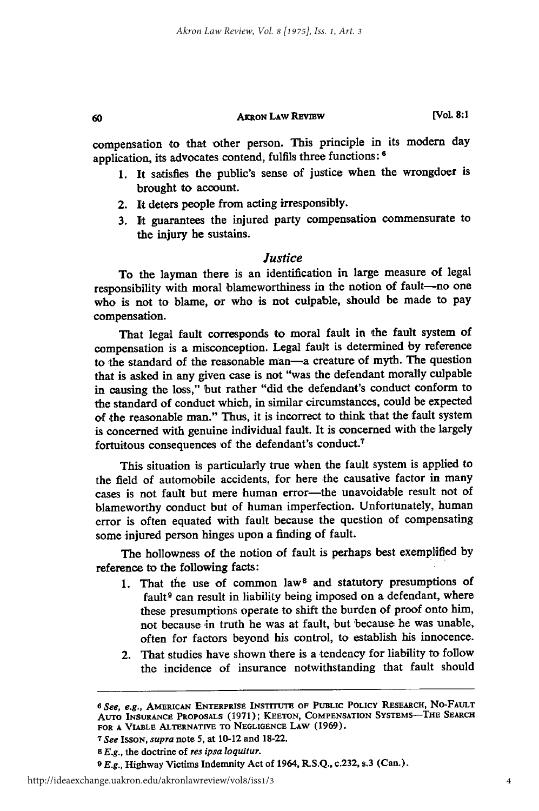#### **AKRON** LAW REVIEW

**[Vol. 8:1**

compensation to that other person. This principle in its modern day application, its advocates contend, fulfils three functions: **<sup>6</sup>**

- **1.** It satisfies the public's sense of justice when the wrongdoer is brought to account.
- 2. It deters people from acting irresponsibly.

60

**3. It** guarantees the injured party compensation commensurate to the injury he sustains.

#### *Justice*

To the layman there is an identification in large measure of legal responsibility with moral blameworthiness in the notion **of** fault-no one who **is** not to blame, or who is not culpable, should be made to pay compensation.

That legal fault corresponds to moral fault in the fault system of compensation is a misconception. Legal fault is determined by reference to the standard of the reasonable man-a creature of myth. The question that is asked in any given case is not "was the defendant morally culpable in causing the loss," but rather "did the defendant's conduct conform to the standard of conduct which, in similar circumstances, could be expected of the reasonable man." Thus, it is incorrect to think that the fault system is concerned with genuine individual fault. It is concerned with the largely fortuitous consequences **of** the defendant's conduct.7

This situation is particularly true when the fault system is applied to the field of automobile accidents, for here the causative factor in many cases is not fault but mere human error-the unavoidable result not of blameworthy conduct but of human imperfection. Unfortunately, human error is often equated with fault because the question of compensating some injured person hinges upon a finding of fault.

The hollowness of the notion of fault is perhaps best exemplified **by** reference to the following facts:

- 1. That the use of common law<sup>8</sup> and statutory presumptions of fault<sup>9</sup> can result in liability being imposed on a defendant, where these presumptions operate to shift the burden of proof onto him, not because in truth he was at fault, but because he was unable, often for factors beyond his control, to establish his innocence.
- 2. That studies have shown there is a tendency for liability to follow the incidence of insurance notwithstanding that fault should

*<sup>6</sup>See, e.g.,* **AMERICAN ENTERPRISE INSTITUTE OF PUBLIC POLICY RESEARCH, No-FAULT AUTO INSURANCE** PROPOSALS (1971); **KEETON, COMPENSATION** SYSTEMS-THE SEARCH **FOR A VIABLE ALTERNATIVE TO** NEGLIGENCE **LAW (1969).** *<sup>7</sup>See* **IssoN,** *supra* note **5,** at 10-12 and **18-22.**

**<sup>8</sup>***E.g.,* **the** doctrine of *res ipsa loquitur.*

*<sup>9</sup>E.g.,* Highway **Victims** Indemnity **Act** of 1964, **R.S.Q.,** c.232, **s.3** (Can.).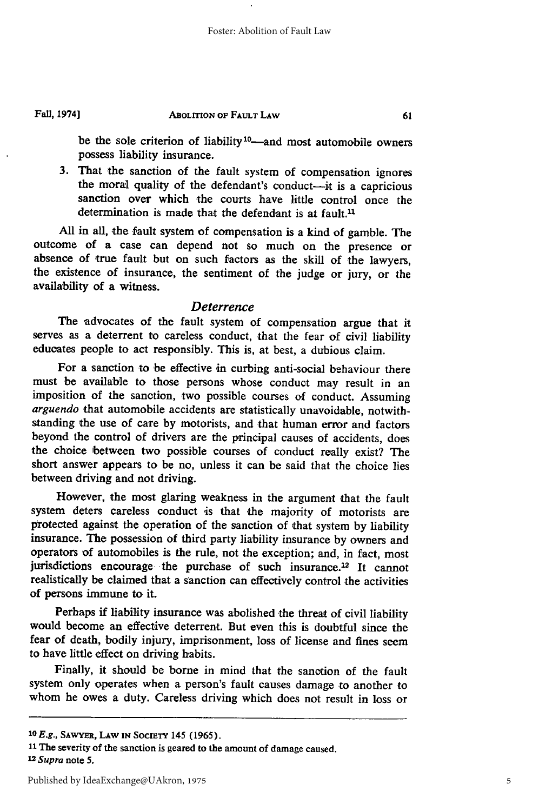#### **Fall, 1974l**

#### **ABOLITION Op FAULT LAW**

be the sole criterion of liability<sup>10</sup>—and most automobile owners possess liability **insurance.**

**3.** That the sanction of the fault system of compensation ignores the moral quality of the defendant's conduct-it is a capricious sanction over which the courts have little control once the determination is made that the defendant is at  $f$ ault.<sup>11</sup>

**All** in all, the fault system of compensation is a kind of gamble. The outcome of a case can depend not so much on the presence or absence of true fault but on such factors as the skill of the lawyers, the existence of insurance, the sentiment of the judge or jury, or the availability of a witness.

#### *Deterrence*

The advocates of the fault system of compensation argue that it serves as a deterrent to careless conduct, that the fear **of** civil liability educates people to act responsibly. This is, at best, a dubious claim.

For a sanction to be effective in curbing anti-social behaviour there must be available to those persons whose conduct may result in an imposition of the sanction, two possible courses of conduct. Assuming *arguendo* that automobile accidents are statistically unavoidable, notwithstanding the use of care **by** motorists, and that human error and factors beyond the control of drivers are the principal causes of accidents, does the choice between two possible courses of conduct really exist? The short answer appears to be no, unless it can be said that the choice lies between driving and not driving.

However, the most glaring weakness in the argument that the fault system deters careless conduct is that the majority of motorists are protected against the operation of the sanction of that system **by** liability insurance. The possession of third party liability insurance **by** owners and operators of automobiles is the rule, not the exception; and, in fact, most jurisdictions encourage the purchase of such insurance.<sup>12</sup> It cannot realistically be claimed that a sanction can effectively control the activities of persons immune to it.

Perhaps if liability insurance was abolished the threat of civil liability would become an effective deterrent. But even this is doubtful since the fear of death, bodily injury, imprisonment, loss of license and fines seem to have little effect on driving habits.

Finally, it should be borne in mind that the sanction of the fault system only operates when a person's fault causes damage to another to whom he owes a duty. Careless driving which does not result in loss or

**<sup>1</sup>OE.g., SAWYER, LAW IN SOCIETY 145 (1965).**

**<sup>11</sup> The severity of the sanction is geared to the amount of damage caused.** *1 <sup>2</sup> Supra* **note 5.**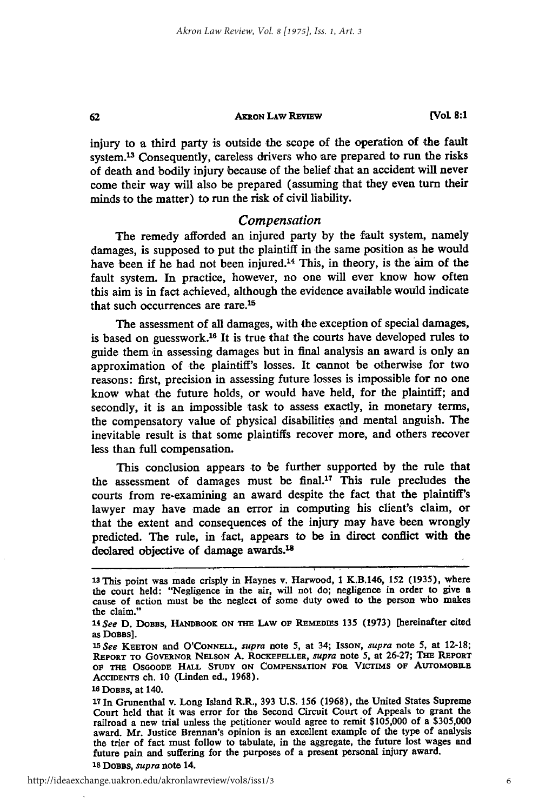#### **AxRON LAw REviEw**

injury to a third party is outside the scope of the operation of the fault system.<sup>13</sup> Consequently, careless drivers who are prepared to run the risks of death and bodily injury because of the belief that an accident will never come their way will also be prepared (assuming that they even turn their minds to the matter) to run the risk of civil liability.

#### *Compensation*

The remedy afforded an injured party by the fault system, namely damages, is supposed to put the plaintiff in the same position as he would have been if he had not been injured.<sup>14</sup> This, in theory, is the aim of the fault system. In practice, however, no one will ever know how often this aim is in fact achieved, although the evidence available would indicate that such occurrences are rare.<sup>15</sup>

The assessment of all damages, with the exception of special damages, is based on guesswork.<sup>16</sup> It is true that the courts have developed rules to guide them in assessing damages but in final analysis an award is only an approximation of the plaintiff's losses. It cannot be otherwise for two reasons: first, precision in assessing future losses is impossible for no one know what the future holds, or would have held, for the plaintiff; and secondly, it is an impossible task to assess exactly, in monetary terms, the compensatory value of physical disabilities and mental anguish. The inevitable result is that some plaintiffs recover more, and others recover less than full compensation.

This conclusion appears to be further supported by the rule that the assessment of damages must be final.17 This rule precludes the courts from re-examining an award despite the fact that the plaintiff's lawyer may have made an error in computing his client's claim, or that the extent and consequences of the injury may have been wrongly predicted. The rule, in fact, appears to be in direct conflict with the declared objective of damage awards.<sup>18</sup>

62

**<sup>13</sup>**This point was made crisply in Haynes v. **Harwood, I K.B.146, 152 (1935),** where the court held: "Negligence in the air, will not do; negligence in order to give a cause of action must be the neglect of some duty owed to the person who makes the claim."

*<sup>14</sup>See* **D. DOBBS, HANDBOOK ON THE LAw OF REMEDIES 135 (1973)** [hereinafter cited as **DoBas].**

*<sup>15</sup>*See **KEETON and O'CONNELL, supra** note 5, at 34; **ISSON,** supra note **5,** at **12-18; REPORT TO GOVERNOR NELSON A. ROCKEFELLER,** supra note 5, at **26-27; THE REPORT OF THE OSGOODE HALL STUDY ON COMPENSATION FOR VICTIMS OF** AUTOMOBILE **ACCIDENTS ch. 10 (Linden ed., 1968).**

**<sup>16</sup> DOBBS, at** 140.

**<sup>17</sup>**In Grunenthal v. Long Island R.R., **393 U.S.** 156 (1968), the United States Supreme Court held that it was error for the Second Circuit Court of Appeals to grant the railroad a new trial unless the petitioner would agree to remit \$105,000 **of** a \$305,000 award. Mr. Justice Brennan's opinion is an excellent example of the type of analysis the trier of fact must follow to tabulate, in the aggregate, the future lost wages and future pain and suffering for the purposes of a present personal injury award. **18 DOBBS,** *supra* note 14.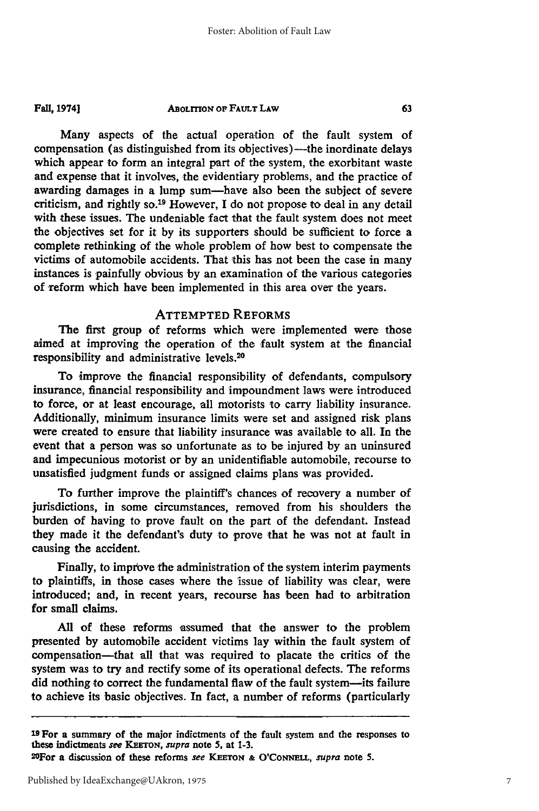#### **ABOLITION OF FAULT LAW Fall, 19741**

Many aspects of the actual operation of the fault system of compensation (as distinguished from its objectives)—the inordinate delays which appear to form an integral part of the system, the exorbitant waste and expense that it involves, the evidentiary problems, and the practice of awarding damages in a lump sum-have also been the subject of severe criticism, and rightly so.19 However, I do not propose to deal in any detail with these issues. The undeniable fact that the fault system does not meet the objectives set for it by its supporters should be sufficient to force a complete rethinking of the whole problem of how best to compensate the victims of automobile accidents. That this has not been the case in many instances is painfully obvious by an examination of the various categories of reform which have been implemented in this area over the years.

#### ATTEMPTED REFORMS

The first group of reforms which were implemented were those aimed at improving the operation of the fault system at the financial responsibility and administrative levels. <sup>20</sup>

To improve the financial responsibility of defendants, compulsory insurance, financial responsibility and impoundment laws were introduced to force, or at least encourage, all motorists to carry liability insurance. Additionally, minimum insurance limits were set and assigned risk plans were created to ensure that liability insurance was available to all. In the event that a person was so unfortunate as to be injured by an uninsured and impecunious motorist or by an unidentifiable automobile, recourse to unsatisfied judgment funds or assigned claims plans was provided.

To further improve the plaintiff's chances of recovery a number of jurisdictions, in some circumstances, removed from his shoulders the burden of having to prove fault on the part of the defendant. Instead they made it the defendant's duty to prove that he was not at fault in causing the accident.

Finally, to improve the administration of the system interim payments to plaintiffs, in those cases where the issue of liability was clear, were introduced; and, in recent years, recourse has been had to arbitration for small claims.

All of these reforms assumed that the answer to the problem presented **by** automobile accident victims lay within the fault system of compensation-that **all** that was required to placate the critics of the system was to try and rectify some of its operational defects. The reforms did nothing to correct the fundamental flaw of the fault system--its failure to achieve its basic objectives. In fact, a number of reforms (particularly

**<sup>19</sup>**For a summary of the major indictments of the fault system and the responses to these indictments **see KEaTON, supra** note **5,** at **1-3.**

<sup>2</sup>OFor a discussion of these reforms **see KEETON & O'CoNNELL, supra** note **5.**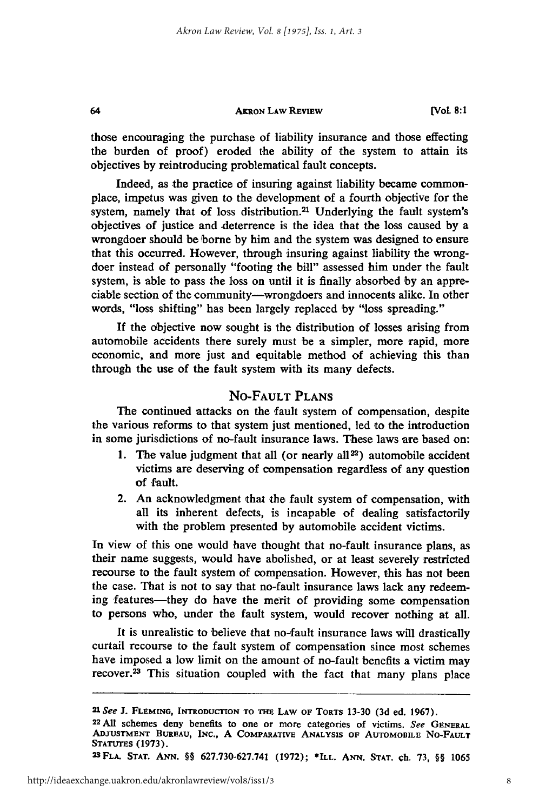#### **AKRON LAW REvIEw**

64

those encouraging the purchase of liability insurance and those effecting the burden of proof) eroded the ability of the system to attain its objectives by reintroducing problematical fault concepts.

Indeed, as the practice of insuring against liability became commonplace, impetus was given to the development of a fourth objective for the system, namely that of loss distribution.<sup>21</sup> Underlying the fault system's objectives of justice and deterrence is the idea that the loss caused by a wrongdoer should be borne by him and the system was designed to ensure that this occurred. However, through insuring against liability the wrongdoer instead of personally "footing the bill" assessed him under the fault system, is able to pass the loss on until it is finally absorbed by an appreciable section of the community-wrongdoers and innocents alike. In other words, "loss shifting" has been largely replaced by "loss spreading."

If the objective now sought is the distribution of losses arising from automobile accidents there surely must be a simpler, more rapid, more economic, and more just and equitable method of achieving this than through the use of the fault system with its many defects.

#### No-FAULT **PLANS**

The continued attacks on the fault system of compensation, despite the various reforms to that system just mentioned, led to the introduction in some jurisdictions of no-fault insurance laws. These laws are based on:

- 1. The value judgment that all (or nearly all<sup>22</sup>) automobile accident victims are deserving of compensation regardless of any question of fault.
- 2. An acknowledgment that the fault system of compensation, with all its inherent defects, is incapable of dealing satisfactorily with the problem presented **by** automobile accident victims.

In view of this one would have thought that no-fault insurance plans, as their name suggests, would have abolished, or at least severely restricted recourse to the fault system of compensation. However, this has not been the case. That is not to say that no-fault insurance laws lack any redeeming features—they do have the merit of providing some compensation to persons who, under the fault system, would recover nothing at all.

It is unrealistic to believe that no-fault insurance laws will drastically curtail recourse to the fault system of compensation since most schemes have imposed a low limit on the amount of no-fault benefits a victim may recover.23 This situation coupled with the fact that many plans place

*<sup>21</sup>* **See J. FLEMING, INTRODUCTION TO THE** LAW **OF TORTS 13-30 (3d** ed. **1967).**

**<sup>22</sup> All** schemes deny benefits to one or more categories of victims. See **GENERAL ADJUSTMENT BUREAU, INC., A COMPARATIVE ANALYSIS OF AUTOMOBILE NO-FAULT STATUTES (1973). <sup>23</sup> FLA. STAT. ANN.** §§ **627.730-627.741 (1972); \*ILL. ANN, STAT, ch. 73,** §§ **<sup>1065</sup>**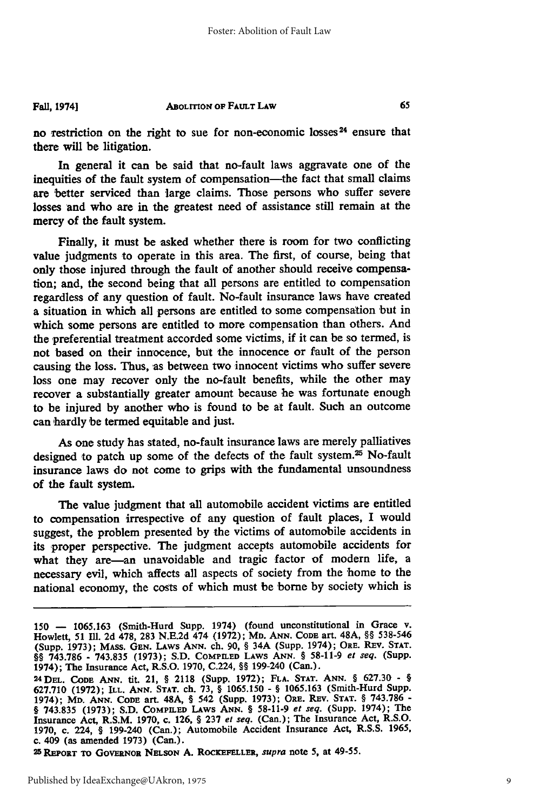#### **ABOLITION OF FAULT** LAW **Fall, 1974]**

no restriction on the right to sue for non-economic losses<sup>24</sup> ensure that there will be litigation.

In general it can be said that no-fault laws aggravate one of the inequities of the fault system of compensation—the fact that small claims are better serviced than large claims. Those persons who suffer severe losses and who are in the greatest need of assistance still remain at the mercy of the fault system.

Finally, it must be asked whether there is room for two conflicting value judgments to operate in this area. The first, of course, being that only those injured through the fault of another should receive compensation; and, the second being that all persons are entitled to compensation regardless of any question of fault. No-fault insurance laws have created a situation in which all persons are entitled to some compensation but in which some persons are entitled to more compensation than others. And the preferential treatment accorded some victims, if it can be so termed, is not based on their innocence, but the innocence or fault of the person causing the loss. Thus, as between two innocent victims who suffer severe loss one may recover only the no-fault benefits, while the other may recover a substantially greater amount because he was fortunate enough to be injured **by** another who is found to be at fault. Such an outcome can hardly be termed equitable and just.

As one study has stated, no-fault insurance laws are merely palliatives designed to patch up some of the defects of the fault system.25 No-fault insurance laws do not come to grips with the fundamental unsoundness of the fault system.

The value judgment that **all** automobile accident victims are entitled to compensation irrespective of any question of fault places, **I** would suggest, the problem presented by the victims of automobile accidents in its proper perspective. The judgment accepts automobile accidents for what they are-an unavoidable and tragic factor of modern life, a necessary evil, which affects all aspects of society from the home to the national economy, the costs of which must be borne by society which is

**2 5 REPORT TO GOVERNOR NELSON A.** ROCKEFELLER, *supra* note **5,** at 49-55.

<sup>150</sup> **-** 1065.163 (Smith-Hurd Supp. 1974) (found unconstitutional in Grace v. Howlett, 51 Ml. **2d 478, 283** N.E.2d 474 (1972); Mn. ANN. CODE art. 48A, §§ 538-546 (Supp. 1973); MAss. GEN. **LAWS ANN.** ch. 90, § 34A (Supp. 1974); ORE. REV. STAT. §§ 743.786 - 743.835 (1973); S.D. **COMPILED** LAWS **ANN.** § 58-11-9 *et seq.* (Supp. 1974); The Insurance Act, R.S.O. 1970, C.224, §§ 199-240 (Can.). <sup>24</sup> DEL. CODE **ANN. tit.** 21, § **2118** (Supp. **1972); FLA. STAT. ANN.** § **627.30 -** §

**<sup>627.710 (1972);</sup>** ILL. **ANN. STAT.** ch. **73,** § **1065.150 -** § **1065.163** (Smith-Hurd Supp. 1974); MD. **ANN.** CODE art. **48A,** § 542 (Supp. **1973);** ORE. REv. **STAT.** § **743.786 -** § **743.835 (1973); S.D.** COMPILED LAWS **ANN.** § **58-11-9** *et seq.* (Supp. 1974); The Insurance Act, R.S.M. **1970,** c. **126,** § **237** *et seq.* (Can.); The Insurance Act, R.S.O. **1970,** c. 224, § 199-240 (Can.); Automobile Accident Insurance Act, R.S.S. **1965,** c. **409** (as amended **1973)** (Can.).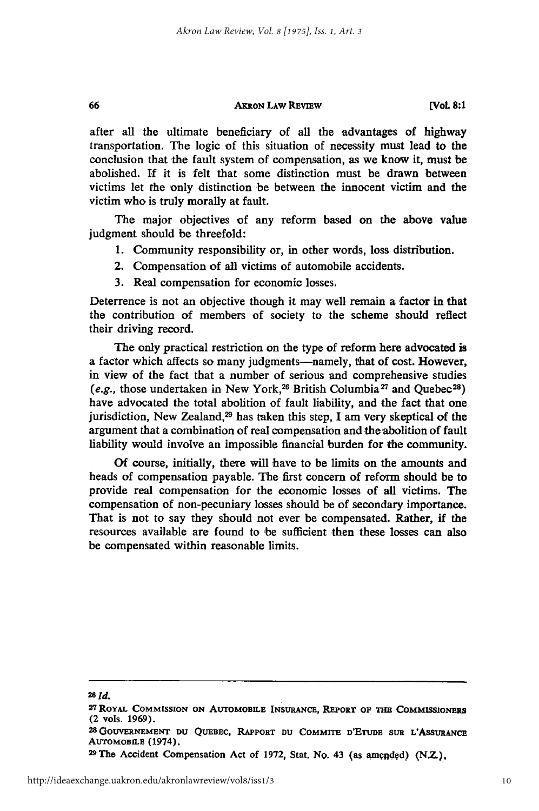#### **AKRON LAW REVIEW**

**[VoL 8:1**

after all the ultimate beneficiary of all the advantages of highway transportation. The logic of this situation of necessity must lead to the conclusion that the fault system of compensation, as we know it, must be abolished. If it is felt that some distinction must be drawn between victims let the only distinction be between the innocent victim and the victim who is truly morally at fault.

The major objectives of any reform based on the above value judgment should be threefold:

- 1. Community responsibility or, in other words, loss distribution.
- 2. Compensation of all victims of automobile accidents.
- 3. Real compensation for economic losses.

Deterrence is not an objective though it may well remain a factor in that the contribution of members of society to the scheme should reflect their driving record.

The only practical restriction on the type of reform here advocated is a factor which affects so many judgments---namely, that of cost. However, in view of the fact that a number of serious and comprehensive studies (e.g., those undertaken in New York,<sup>26</sup> British Columbia<sup>27</sup> and Quebec<sup>28</sup>) have advocated the total abolition of fault liability, and the fact that one jurisdiction, New Zealand,<sup>29</sup> has taken this step, I am very skeptical of the argument that a combination of real compensation and the abolition of fault liability would involve an impossible financial burden for the community.

**Of** course, initially, there will have to be limits on the amounts and heads of compensation payable. The first concern of reform should be to provide real compensation for the economic losses of all victims. The compensation of non-pecuniary losses should be of secondary importance. That is not to say they should not ever be compensated. Rather, **if** the resources available are found to be sufficient then these losses can also be compensated within reasonable limits.

#### *20 Id.*

66

<sup>27</sup> ROYAL COMMISSION ON AUTOMOBILE INSURANCE, REPORT OF THE COMMISSIONERS (2 **vols. 1969).**

**<sup>28</sup>GouvERNEmENT DU QUEBEC, RAPPORT DU COMMITE D'ETUDE SUR L'ASsURANCE AuToMOBILE** (1974). **<sup>29</sup> The Accident Compensation** Act **of 1972,** Stat, No. 43 **(as amcnded) (NZ).**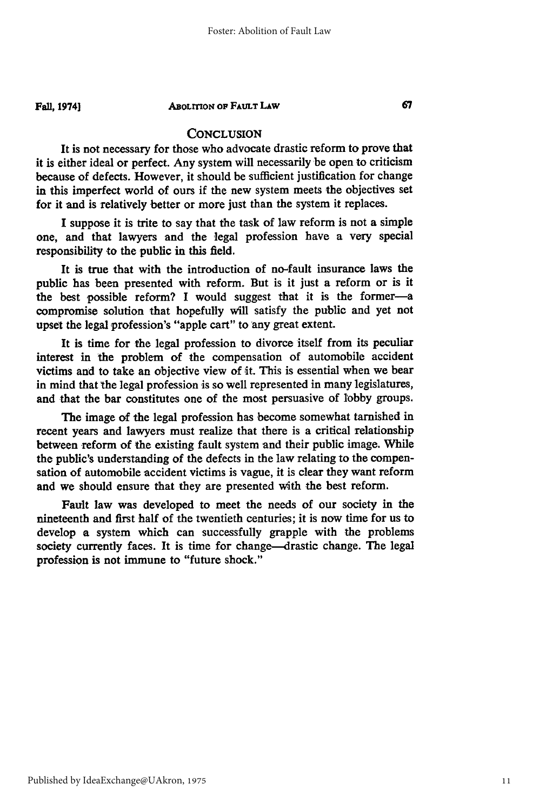**Fall, 1974]**

#### **ABOLITION OF FAULT LAW**

#### **CONCLUSION**

It is not necessary for those who advocate drastic reform to prove that it is either ideal or perfect. Any system will necessarily be open to criticism because of defects. However, it should be sufficient justification for change in this imperfect world of ours if the new system meets the objectives set for it and is relatively better or more just than the system it replaces.

I suppose it is trite to say that the task of law reform is not a simple one, and that lawyers and the legal profession have a very special responsibility to the public in this field.

It is true that with the introduction of no-fault insurance laws the public has been presented with reform. But is it just a reform or is it the best possible reform? I would suggest that it is the former-a compromise solution that hopefully Will satisfy the public and yet not upset the legal profession's "apple cart" to any great extent.

It is time for the legal profession to divorce itself from its peculiar interest in the problem of the compensation of automobile accident victims and to take an objective view of it. This is essential when we bear in mind that the legal profession is so well represented in many legislatures, and that the bar constitutes one of the most persuasive of lobby groups.

The image of the legal profession has become somewhat tarnished in recent years and lawyers must realize that there is a critical relationship between reform of the existing fault system and their public image. While the public's understanding of the defects in the law relating to the compensation of automobile accident victims is vague, it is clear they want reform and we should ensure that they are presented with the best reform.

Fault law was developed to meet the needs of our society in the nineteenth and first half of the twentieth centuries; it is now time for us to develop a system which can successfully grapple with the problems society currently faces. It is time for change-drastic change. The legal profession is not immune to "future shock."